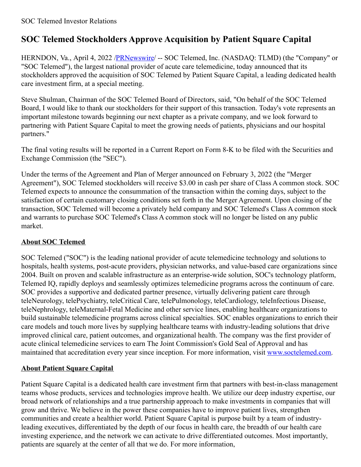# **SOC Telemed Stockholders Approve Acquisition by Patient Square Capital**

HERNDON, Va., April 4, 2022 /**PRNewswire/** -- SOC Telemed, Inc. (NASDAQ: TLMD) (the "Company" or "SOC Telemed"), the largest national provider of acute care telemedicine, today announced that its stockholders approved the acquisition of SOC Telemed by Patient Square Capital, a leading dedicated health care investment firm, at a special meeting.

Steve Shulman, Chairman of the SOC Telemed Board of Directors, said, "On behalf of the SOC Telemed Board, I would like to thank our stockholders for their support of this transaction. Today's vote represents an important milestone towards beginning our next chapter as a private company, and we look forward to partnering with Patient Square Capital to meet the growing needs of patients, physicians and our hospital partners."

The final voting results will be reported in a Current Report on Form 8-K to be filed with the Securities and Exchange Commission (the "SEC").

Under the terms of the Agreement and Plan of Merger announced on February 3, 2022 (the "Merger Agreement"), SOC Telemed stockholders will receive \$3.00 in cash per share of Class A common stock. SOC Telemed expects to announce the consummation of the transaction within the coming days, subject to the satisfaction of certain customary closing conditions set forth in the Merger Agreement. Upon closing of the transaction, SOC Telemed will become a privately held company and SOC Telemed's Class A common stock and warrants to purchase SOC Telemed's Class A common stock will no longer be listed on any public market.

# **About SOC Telemed**

SOC Telemed ("SOC") is the leading national provider of acute telemedicine technology and solutions to hospitals, health systems, post-acute providers, physician networks, and value-based care organizations since 2004. Built on proven and scalable infrastructure as an enterprise-wide solution, SOC's technology platform, Telemed IQ, rapidly deploys and seamlessly optimizes telemedicine programs across the continuum of care. SOC provides a supportive and dedicated partner presence, virtually delivering patient care through teleNeurology, telePsychiatry, teleCritical Care, telePulmonology, teleCardiology, teleInfectious Disease, teleNephrology, teleMaternal-Fetal Medicine and other service lines, enabling healthcare organizations to build sustainable telemedicine programs across clinical specialties. SOC enables organizations to enrich their care models and touch more lives by supplying healthcare teams with industry-leading solutions that drive improved clinical care, patient outcomes, and organizational health. The company was the first provider of acute clinical telemedicine services to earn The Joint Commission's Gold Seal of Approval and has maintained that accreditation every year since inception. For more information, visit [www.soctelemed.com](https://c212.net/c/link/?t=0&l=en&o=3493937-1&h=178428900&u=http%3A%2F%2Fwww.soctelemed.com%2F&a=www.soctelemed.com).

# **About Patient Square Capital**

Patient Square Capital is a dedicated health care investment firm that partners with best-in-class management teams whose products, services and technologies improve health. We utilize our deep industry expertise, our broad network of relationships and a true partnership approach to make investments in companies that will grow and thrive. We believe in the power these companies have to improve patient lives, strengthen communities and create a healthier world. Patient Square Capital is purpose built by a team of industryleading executives, differentiated by the depth of our focus in health care, the breadth of our health care investing experience, and the network we can activate to drive differentiated outcomes. Most importantly, patients are squarely at the center of all that we do. For more information,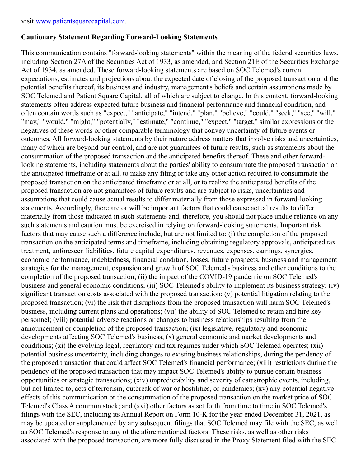### **Cautionary Statement Regarding Forward-Looking Statements**

This communication contains "forward-looking statements" within the meaning of the federal securities laws, including Section 27A of the Securities Act of 1933, as amended, and Section 21E of the Securities Exchange Act of 1934, as amended. These forward-looking statements are based on SOC Telemed's current expectations, estimates and projections about the expected date of closing of the proposed transaction and the potential benefits thereof, its business and industry, management's beliefs and certain assumptions made by SOC Telemed and Patient Square Capital, all of which are subject to change. In this context, forward-looking statements often address expected future business and financial performance and financial condition, and often contain words such as "expect," "anticipate," "intend," "plan," "believe," "could," "seek," "see," "will," "may," "would," "might," "potentially," "estimate," "continue," "expect," "target," similar expressions or the negatives of these words or other comparable terminology that convey uncertainty of future events or outcomes. All forward-looking statements by their nature address matters that involve risks and uncertainties, many of which are beyond our control, and are not guarantees of future results, such as statements about the consummation of the proposed transaction and the anticipated benefits thereof. These and other forwardlooking statements, including statements about the parties' ability to consummate the proposed transaction on the anticipated timeframe or at all, to make any filing or take any other action required to consummate the proposed transaction on the anticipated timeframe or at all, or to realize the anticipated benefits of the proposed transaction are not guarantees of future results and are subject to risks, uncertainties and assumptions that could cause actual results to differ materially from those expressed in forward-looking statements. Accordingly, there are or will be important factors that could cause actual results to differ materially from those indicated in such statements and, therefore, you should not place undue reliance on any such statements and caution must be exercised in relying on forward-looking statements. Important risk factors that may cause such a difference include, but are not limited to: (i) the completion of the proposed transaction on the anticipated terms and timeframe, including obtaining regulatory approvals, anticipated tax treatment, unforeseen liabilities, future capital expenditures, revenues, expenses, earnings, synergies, economic performance, indebtedness, financial condition, losses, future prospects, business and management strategies for the management, expansion and growth of SOC Telemed's business and other conditions to the completion of the proposed transaction; (ii) the impact of the COVID-19 pandemic on SOC Telemed's business and general economic conditions; (iii) SOC Telemed's ability to implement its business strategy; (iv) significant transaction costs associated with the proposed transaction; (v) potential litigation relating to the proposed transaction; (vi) the risk that disruptions from the proposed transaction will harm SOC Telemed's business, including current plans and operations; (vii) the ability of SOC Telemed to retain and hire key personnel; (viii) potential adverse reactions or changes to business relationships resulting from the announcement or completion of the proposed transaction; (ix) legislative, regulatory and economic developments affecting SOC Telemed's business; (x) general economic and market developments and conditions; (xi) the evolving legal, regulatory and tax regimes under which SOC Telemed operates; (xii) potential business uncertainty, including changes to existing business relationships, during the pendency of the proposed transaction that could affect SOC Telemed's financial performance; (xiii) restrictions during the pendency of the proposed transaction that may impact SOC Telemed's ability to pursue certain business opportunities or strategic transactions; (xiv) unpredictability and severity of catastrophic events, including, but not limited to, acts of terrorism, outbreak of war or hostilities, or pandemics; (xv) any potential negative effects of this communication or the consummation of the proposed transaction on the market price of SOC Telemed's Class A common stock; and (xvi) other factors as set forth from time to time in SOC Telemed's filings with the SEC, including its Annual Report on Form 10-K for the year ended December 31, 2021, as may be updated or supplemented by any subsequent filings that SOC Telemed may file with the SEC, as well as SOC Telemed's response to any of the aforementioned factors. These risks, as well as other risks associated with the proposed transaction, are more fully discussed in the Proxy Statement filed with the SEC